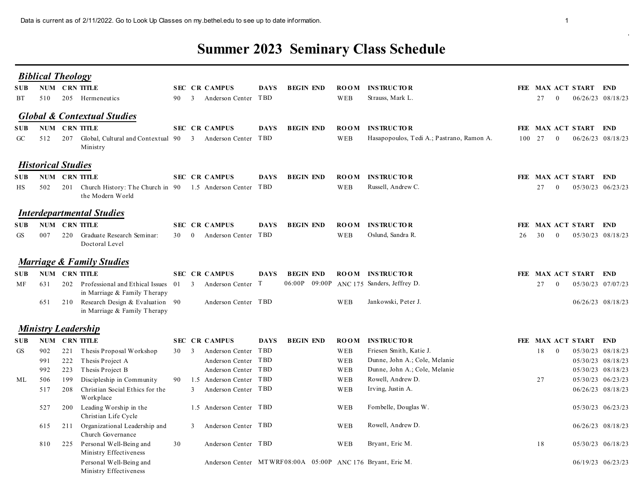## Summer 2023 Seminary Class Schedule

|                                         |                                 |               | Data is current as of 2/11/2022. Go to Look Up Classes on my bethel edu to see up to date information.                                                            |      |                                                                                                                                                  |             |                  |                                 |                                                                                                                                                               |    |            |                |                                                                                                                                |
|-----------------------------------------|---------------------------------|---------------|-------------------------------------------------------------------------------------------------------------------------------------------------------------------|------|--------------------------------------------------------------------------------------------------------------------------------------------------|-------------|------------------|---------------------------------|---------------------------------------------------------------------------------------------------------------------------------------------------------------|----|------------|----------------|--------------------------------------------------------------------------------------------------------------------------------|
|                                         |                                 |               |                                                                                                                                                                   |      |                                                                                                                                                  |             |                  |                                 | <b>Summer 2023 Seminary Class Schedule</b>                                                                                                                    |    |            |                |                                                                                                                                |
| <b>Biblical Theology</b><br>SUB<br>ВT   | 510                             | NUM CRN TITLE | 205 Hermeneutics                                                                                                                                                  |      | SEC CR CAMPUS<br>90 3 Anderson Center TBD                                                                                                        | DAYS        | <b>BEGIN END</b> | WEB                             | <b>ROOM INSTRUCTOR</b><br>Strauss, Mark L.                                                                                                                    |    | 27         | $\bf{0}$       | FEE MAX ACT START END<br>06/26/23 08/18/23                                                                                     |
| SUB-<br>GC                              | 512                             | NUM CRN TITLE | <b>Global &amp; Contextual Studies</b><br>207 Global, Cultural and Contextual 90 3 Anderson Center TBD<br>Ministry                                                |      | <b>SEC CR CAMPUS</b>                                                                                                                             | <b>DAYS</b> | <b>BEGIN END</b> | <b>ROOM</b><br>WEB              | <b>INSTRUCTOR</b><br>Hasapopoulos, Tedi A.; Pastrano, Ramon A.                                                                                                |    | 100 27     | $\overline{0}$ | FEE MAX ACT START END<br>06/26/23 08/18/23                                                                                     |
| <b>Historical Studies</b><br>SUB-<br>HS | 502                             | NUM CRN TITLE | 201 Church History: The Church in 90 1.5 Anderson Center TBD<br>the Modern World                                                                                  |      | <b>SEC CR CAMPUS</b>                                                                                                                             | <b>DAYS</b> | <b>BEGIN END</b> | <b>ROOM</b><br>WEB              | <b>INSTRUCTOR</b><br>Russell, Andrew C.                                                                                                                       |    | 27         | $\bf{0}$       | FEE MAX ACT START END<br>05/30/23 06/23/23                                                                                     |
| SUB-<br>GS                              | 007                             | NUM CRN TITLE | <b>Interdepartmental Studies</b><br>220 Graduate Research Seminar:<br>Doctoral Level                                                                              |      | <b>SEC CR CAMPUS</b><br>30 0 Anderson Center TBD                                                                                                 | DAYS        | <b>BEGIN END</b> | <b>ROOM</b><br>WEB              | <b>INSTRUCTOR</b><br>Oslund, Sandra R.                                                                                                                        | 26 | 30         | $\sim 0$       | FEE MAX ACT START END<br>05/30/23 08/18/23                                                                                     |
|                                         |                                 |               | <b>Marriage &amp; Family Studies</b>                                                                                                                              |      |                                                                                                                                                  |             |                  |                                 |                                                                                                                                                               |    |            |                |                                                                                                                                |
| SUB NUM CRN TITLE<br>МF                 | 631<br>651                      |               | 202 Professional and Ethical Issues 01 3 Anderson Center T<br>in Marriage & Family Therapy<br>210 Research Design & Evaluation 90<br>in Marriage & Family Therapy |      | <b>SEC CR CAMPUS</b><br>Anderson Center TBD                                                                                                      | DAYS        | <b>BEGIN END</b> | WEB                             | ROOM INSTRUCTOR<br>06:00P 09:00P ANC 175 Sanders, Jeffrey D.<br>Jankowski, Peter J.                                                                           |    | 27         | $\bf{0}$       | FEE MAX ACT START END<br>05/30/23 07/07/23<br>06/26/23 08/18/23                                                                |
| <b>Ministry Leadership</b>              |                                 |               |                                                                                                                                                                   |      |                                                                                                                                                  |             |                  |                                 |                                                                                                                                                               |    |            |                |                                                                                                                                |
| <b>SUB NUM CRN TITLE</b><br>GS<br>ML    | 902<br>991<br>992<br>506<br>517 |               | 221 Thesis Proposal Workshop<br>222 Thesis Project A<br>223 Thesis Project B<br>199 Discipleship in Community<br>208 Christian Social Ethics for the<br>Workplace | 30 3 | <b>SEC CR CAMPUS</b><br>Anderson Center TBD<br>Anderson Center TBD<br>Anderson Center TBD<br>90 1.5 Anderson Center TBD<br>3 Anderson Center TBD | <b>DAYS</b> | <b>BEGIN END</b> | WEB<br>WEB<br>WEB<br>WEB<br>WEB | <b>ROOM INSTRUCTOR</b><br>Friesen Smith, Katie J.<br>Dunne, John A.; Cole, Melanie<br>Dunne, John A.; Cole, Melanie<br>Rowell, Andrew D.<br>Irving, Justin A. |    | 18 0<br>27 |                | FEE MAX ACT START END<br>05/30/23 08/18/23<br>05/30/23 08/18/23<br>05/30/23 08/18/23<br>05/30/23 06/23/23<br>06/26/23 08/18/23 |
|                                         | 527                             |               | 200 Leading Worship in the<br>Christian Life Cycle                                                                                                                |      | 1.5 Anderson Center TBD<br>3 Anderson Center TBD                                                                                                 |             |                  | WEB                             | Fombelle, Douglas W.<br>Rowell, Andrew D.                                                                                                                     |    |            |                | 05/30/23 06/23/23                                                                                                              |
|                                         | 810                             |               | 615 211 Organizational Leadership and<br>Church Governance<br>225 Personal Well-Being and<br>Ministry Effectiveness                                               | 30   | Anderson Center TBD                                                                                                                              |             |                  | WEB<br>WEB                      | Bryant, Eric M.                                                                                                                                               |    | 18         |                | 06/26/23 08/18/23<br>05/30/23 06/18/23                                                                                         |
|                                         |                                 |               | Personal Well-Being and<br>Ministry Effectiveness                                                                                                                 |      | Anderson Center MTWRF08:00A 05:00P ANC 176 Bryant, Eric M.                                                                                       |             |                  |                                 |                                                                                                                                                               |    |            |                | 06/19/23 06/23/23                                                                                                              |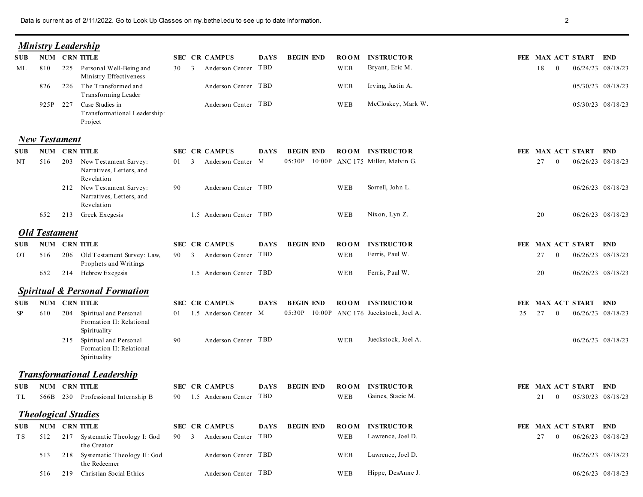|                  |                      | Data is current as of 2/11/2022. Go to Look Up Classes on my bethel.edu to see up to date information. |      |                                                     |             |                  |             |                                                                     |    | $\overline{2}$                                |                                        |
|------------------|----------------------|--------------------------------------------------------------------------------------------------------|------|-----------------------------------------------------|-------------|------------------|-------------|---------------------------------------------------------------------|----|-----------------------------------------------|----------------------------------------|
|                  |                      | <b>Ministry Leadership</b>                                                                             |      |                                                     |             |                  |             |                                                                     |    |                                               |                                        |
| SUB-             |                      | NUM CRN TITLE                                                                                          |      | <b>SEC CR CAMPUS</b>                                | <b>DAYS</b> | <b>BEGIN END</b> |             | <b>ROOM INSTRUCTOR</b>                                              |    | FEE MAX ACT START END                         |                                        |
| ML               | 810                  | 225 Personal Well-Being and                                                                            | 30   | Anderson Center TBD<br>$\overline{\mathbf{3}}$      |             |                  | WEB         | Bryant, Eric M.                                                     |    | 18<br>$\bf{0}$                                | 06/24/23 08/18/23                      |
|                  | 826                  | Ministry Effectiveness<br>226 The Transformed and<br>Transforming Leader                               |      | Anderson Center TBD                                 |             |                  | WEB         | Irving, Justin A.                                                   |    |                                               | 05/30/23 08/18/23                      |
|                  |                      | 925P 227 Case Studies in<br>Transformational Leadership:<br>Project                                    |      | Anderson Center TBD                                 |             |                  | WEB         | McCloskey, Mark W.                                                  |    |                                               | 05/30/23 08/18/23                      |
|                  | <b>New Testament</b> |                                                                                                        |      |                                                     |             |                  |             |                                                                     |    |                                               |                                        |
| <b>SUB</b><br>NT | 516                  | NUM CRN TITLE<br>203 New Testament Survey:<br>Narratives, Letters, and                                 | 01 3 | <b>SEC CR CAMPUS</b><br>Anderson Center M           | <b>DAYS</b> | <b>BEGIN END</b> |             | <b>ROOM INSTRUCTOR</b><br>05:30P 10:00P ANC 175 Miller, Melvin G.   |    | FEE MAX ACT START END<br>27<br>$\overline{0}$ | 06/26/23 08/18/23                      |
|                  |                      | Revelation<br>212 New Testament Survey:<br>Narratives, Letters, and                                    | 90   | Anderson Center TBD                                 |             |                  | WEB         | Sorrell, John L.                                                    |    |                                               | 06/26/23 08/18/23                      |
|                  | 652                  | Revelation<br>213 Greek Exegesis                                                                       |      | 1.5 Anderson Center TBD                             |             |                  | WEB         | Nixon, Lyn Z.                                                       |    | 20                                            | 06/26/23 08/18/23                      |
|                  | <b>Old Testament</b> |                                                                                                        |      |                                                     |             |                  |             |                                                                     |    |                                               |                                        |
|                  |                      | <b>SUB NUM CRN TITLE</b>                                                                               |      | <b>SEC CR CAMPUS</b>                                | <b>DAYS</b> | <b>BEGIN END</b> |             | <b>ROOM INSTRUCTOR</b>                                              |    | FEE MAX ACT START END                         |                                        |
| OT               | 516<br>652           | 206 Old Testament Survey: Law,<br>Prophets and Writings<br>214 Hebrew Exegesis                         |      | 90 3 Anderson Center TBD<br>1.5 Anderson Center TBD |             |                  | WEB<br>WEB  | Ferris, Paul W.<br>Ferris, Paul W.                                  |    | 27<br>$\bf{0}$<br>20                          | 06/26/23 08/18/23<br>06/26/23 08/18/23 |
|                  |                      |                                                                                                        |      |                                                     |             |                  |             |                                                                     |    |                                               |                                        |
|                  |                      | <b>Spiritual &amp; Personal Formation</b>                                                              |      |                                                     |             |                  |             |                                                                     |    |                                               |                                        |
| SP               | 610                  | SUB NUM CRN TITLE<br>204 Spiritual and Personal<br>Formation II: Relational                            |      | <b>SEC CR CAMPUS</b><br>01 1.5 Anderson Center M    | DAYS        | <b>BEGIN END</b> |             | <b>ROOM INSTRUCTOR</b><br>05:30P 10:00P ANC 176 Jueckstock, Joel A. | 25 | FEE MAX ACT START END<br>27<br>$\overline{0}$ | 06/26/23 08/18/23                      |
|                  |                      | Spirituality<br>215 Spiritual and Personal<br>Formation II: Relational<br>Spirituality                 | 90   | Anderson Center TBD                                 |             |                  | WEB         | Jueckstock, Joel A.                                                 |    |                                               | 06/26/23 08/18/23                      |
|                  |                      | <b>Transformational Leadership</b>                                                                     |      |                                                     |             |                  |             |                                                                     |    |                                               |                                        |
|                  |                      | SUB NUM CRN TITLE                                                                                      |      | <b>SEC CR CAMPUS</b>                                | <b>DAYS</b> | <b>BEGIN END</b> |             | ROOM INSTRUCTOR                                                     |    | FEE MAX ACT START END                         |                                        |
| TL –             |                      | 566B 230 Professional Internship B                                                                     |      | 90 1.5 Anderson Center TBD                          |             |                  | WEB         | Gaines, Stacie M.                                                   |    | 21<br>$\bf{0}$                                | 05/30/23 08/18/23                      |
|                  |                      | <b>Theological Studies</b>                                                                             |      |                                                     |             |                  |             |                                                                     |    |                                               |                                        |
| <b>SUB</b>       |                      | NUM CRN TITLE                                                                                          |      | SEC CR CAMPUS                                       | <b>DAYS</b> | <b>BEGIN END</b> | <b>ROOM</b> | <b>INSTRUCTOR</b>                                                   |    | FEE MAX ACT START END                         |                                        |
| T S              |                      | 512 217 Systematic Theology I: God<br>the Creator                                                      | 90 3 | Anderson Center TBD                                 |             |                  | WEB         | Lawrence, Joel D.                                                   |    | 27<br>$\bf{0}$                                | 06/26/23 08/18/23                      |
|                  | 513                  | 218 Systematic Theology II: God<br>the Redeemer                                                        |      | Anderson Center TBD                                 |             |                  | WEB         | Lawrence, Joel D.                                                   |    |                                               | 06/26/23 08/18/23                      |
|                  | 516                  | 219 Christian Social Ethics                                                                            |      | Anderson Center TBD                                 |             |                  | WEB         | Hippe, DesAnne J.                                                   |    |                                               | 06/26/23 08/18/23                      |